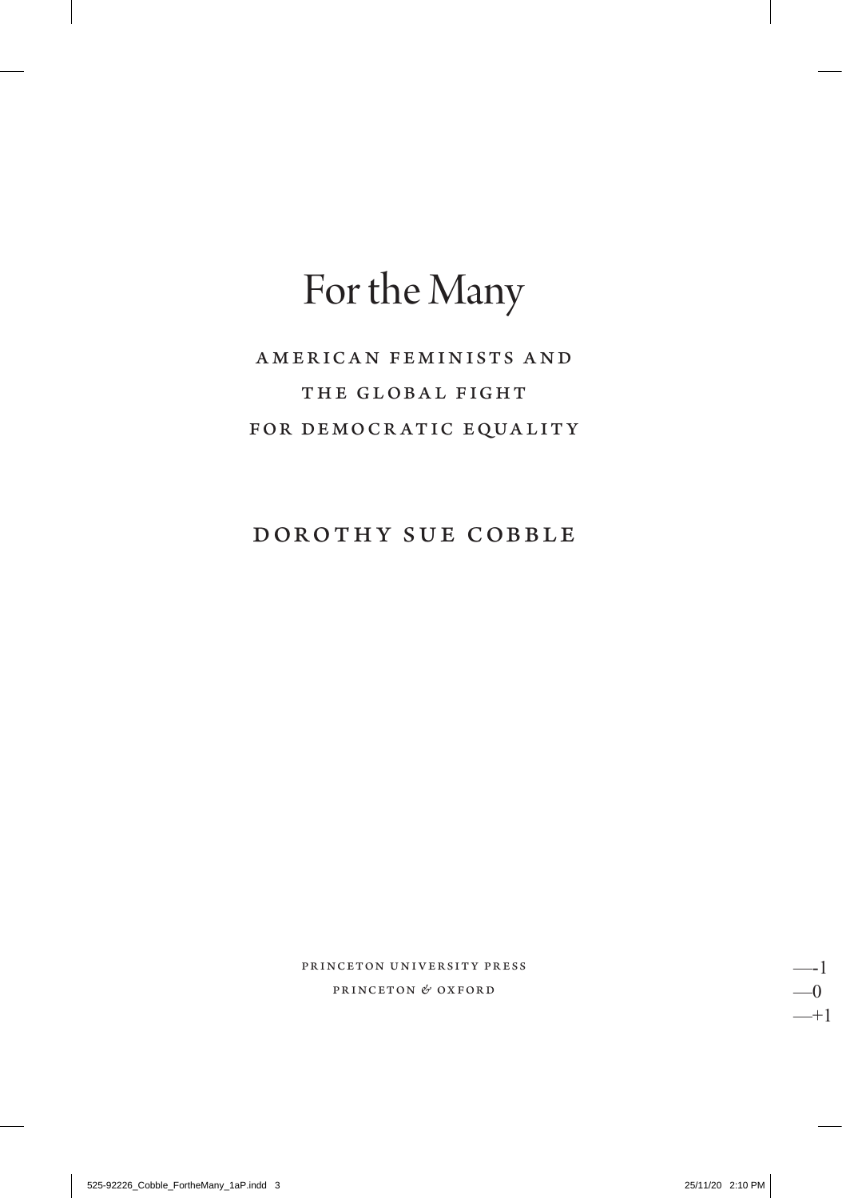# For the Many

AMERICAN FEMINISTS AND THE GLOBAL FIGHT FOR DEMOCRATIC EQUALITY

dorothy sue cobble

princeton university press princeton *&* oxford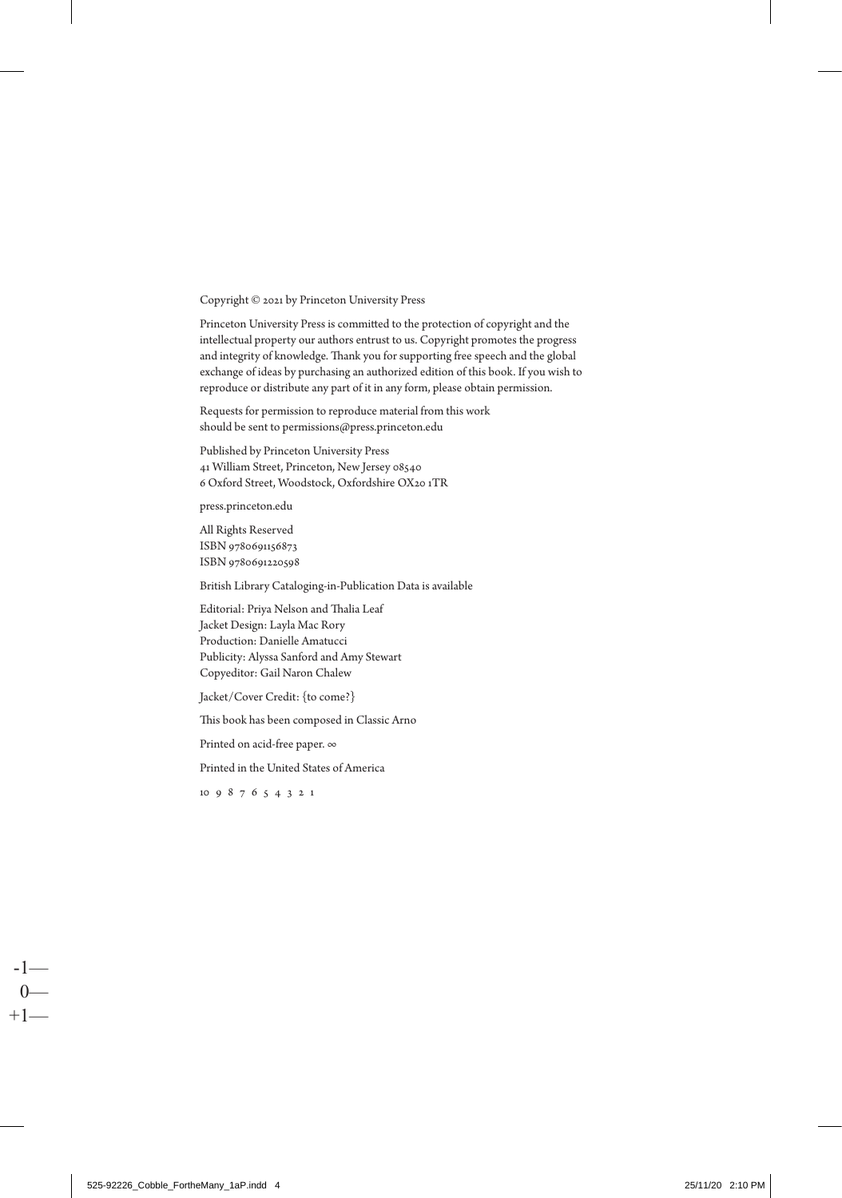Copyright © 2021 by Princeton University Press

Princeton University Press is committed to the protection of copyright and the intellectual property our authors entrust to us. Copyright promotes the progress and integrity of knowledge. Thank you for supporting free speech and the global exchange of ideas by purchasing an authorized edition of this book. If you wish to reproduce or distribute any part of it in any form, please obtain permission.

Requests for permission to reproduce material from this work should be sent to permissions@press.princeton.edu

Published by Princeton University Press 41 William Street, Princeton, New Jersey 08540 6 Oxford Street, Woodstock, Oxfordshire OX20 1TR

press.princeton.edu

All Rights Reserved ISBN 9780691156873 ISBN 9780691220598

British Library Cataloging-in-Publication Data is available

Editorial: Priya Nelson and Thalia Leaf Jacket Design: Layla Mac Rory Production: Danielle Amatucci Publicity: Alyssa Sanford and Amy Stewart Copyeditor: Gail Naron Chalew

Jacket/Cover Credit: {to come?}

This book has been composed in Classic Arno

Printed on acid-free paper. ∞

Printed in the United States of America

10 9 8 7 6 5 4 3 2 1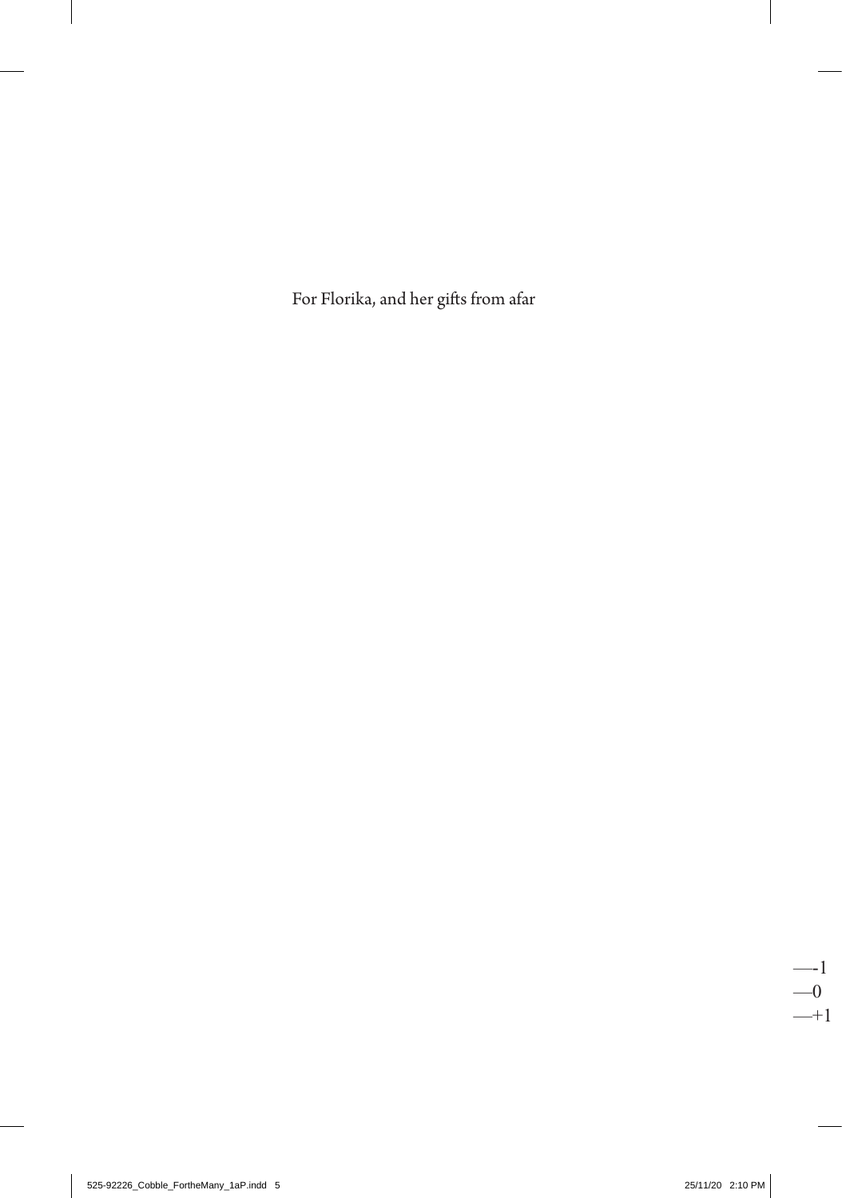For Florika, and her gifts from afar

 $\overline{\phantom{a}}$ 

—-1 —0  $-+1$ 

 $\mathbf{I}$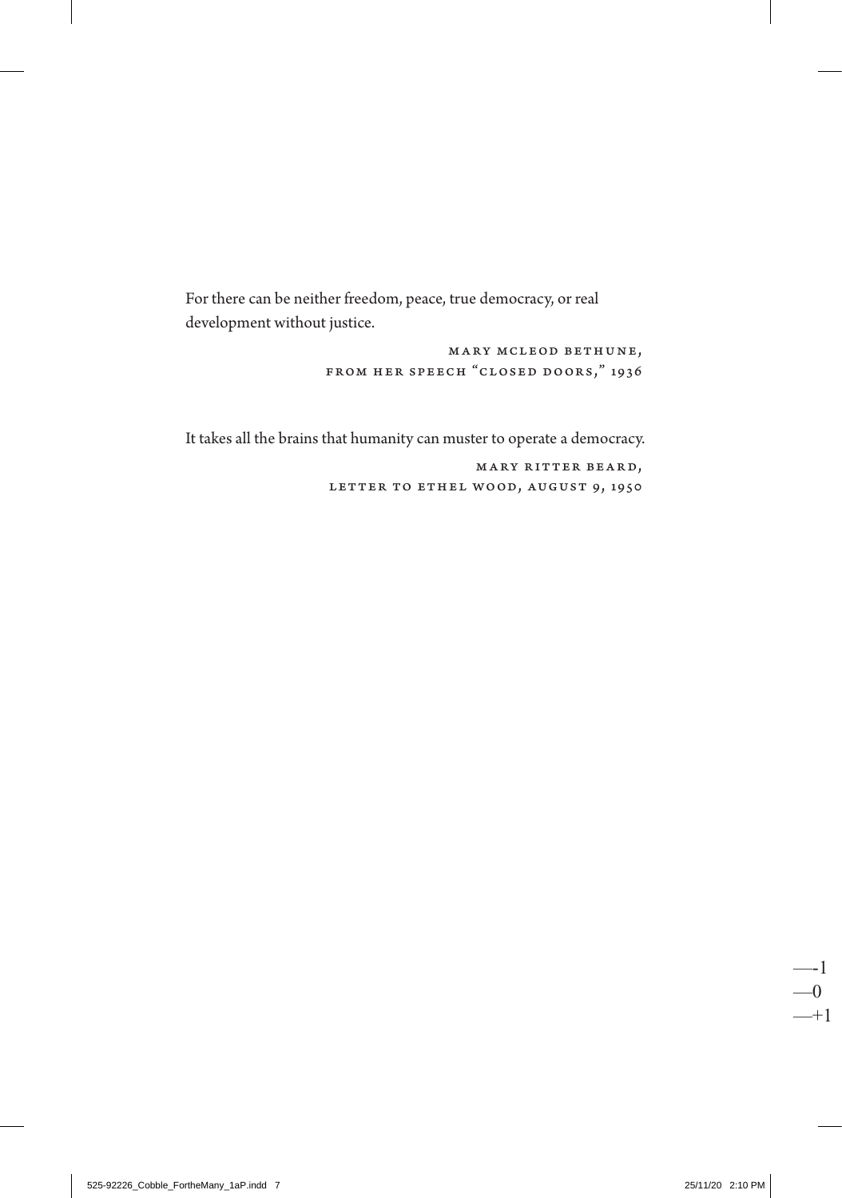For there can be neither freedom, peace, true democracy, or real development without justice.

> m a ry mcleod bethu ne, from her speech "closed doors," 1936

It takes all the brains that humanity can muster to operate a democracy.

MARY RITTER BEARD, LETTER TO ETHEL WOOD, AUGUST 9, 1950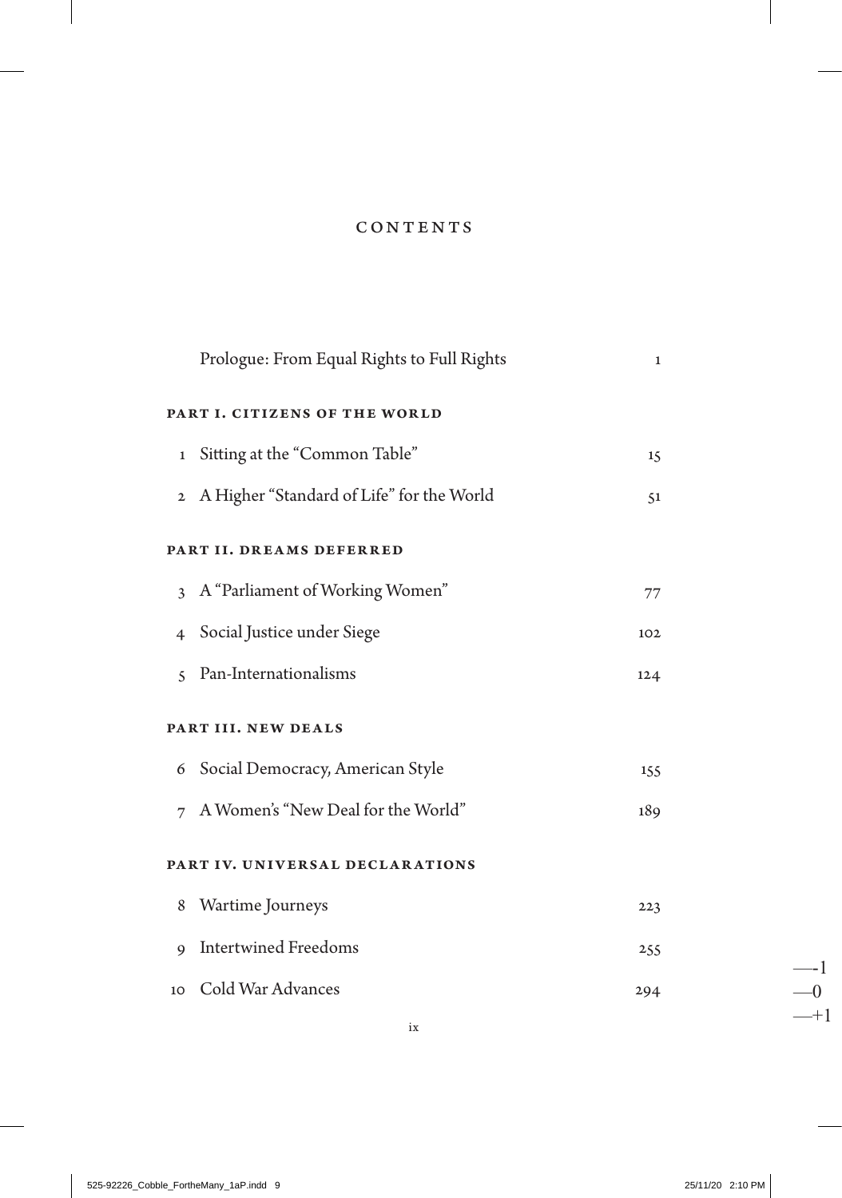## **CONTENTS**

|                                 | Prologue: From Equal Rights to Full Rights  | 1   |  |
|---------------------------------|---------------------------------------------|-----|--|
| PART I. CITIZENS OF THE WORLD   |                                             |     |  |
| $\mathbf{1}$                    | Sitting at the "Common Table"               | 15  |  |
|                                 | 2 A Higher "Standard of Life" for the World | 51  |  |
| PART II. DREAMS DEFERRED        |                                             |     |  |
|                                 | 3 A "Parliament of Working Women"           | 77  |  |
| $\overline{4}$                  | Social Justice under Siege                  | 102 |  |
| $\leq$                          | Pan-Internationalisms                       | 124 |  |
| PART III. NEW DEALS             |                                             |     |  |
|                                 | 6 Social Democracy, American Style          | 155 |  |
| 7                               | A Women's "New Deal for the World"          | 189 |  |
| PART IV. UNIVERSAL DECLARATIONS |                                             |     |  |
| 8                               | Wartime Journeys                            | 223 |  |
| $\mathbf Q$                     | <b>Intertwined Freedoms</b>                 | 255 |  |
|                                 | 10 Cold War Advances                        | 294 |  |

ix

 $\overline{\phantom{a}}$ 

—-1  $-0$  $-+1$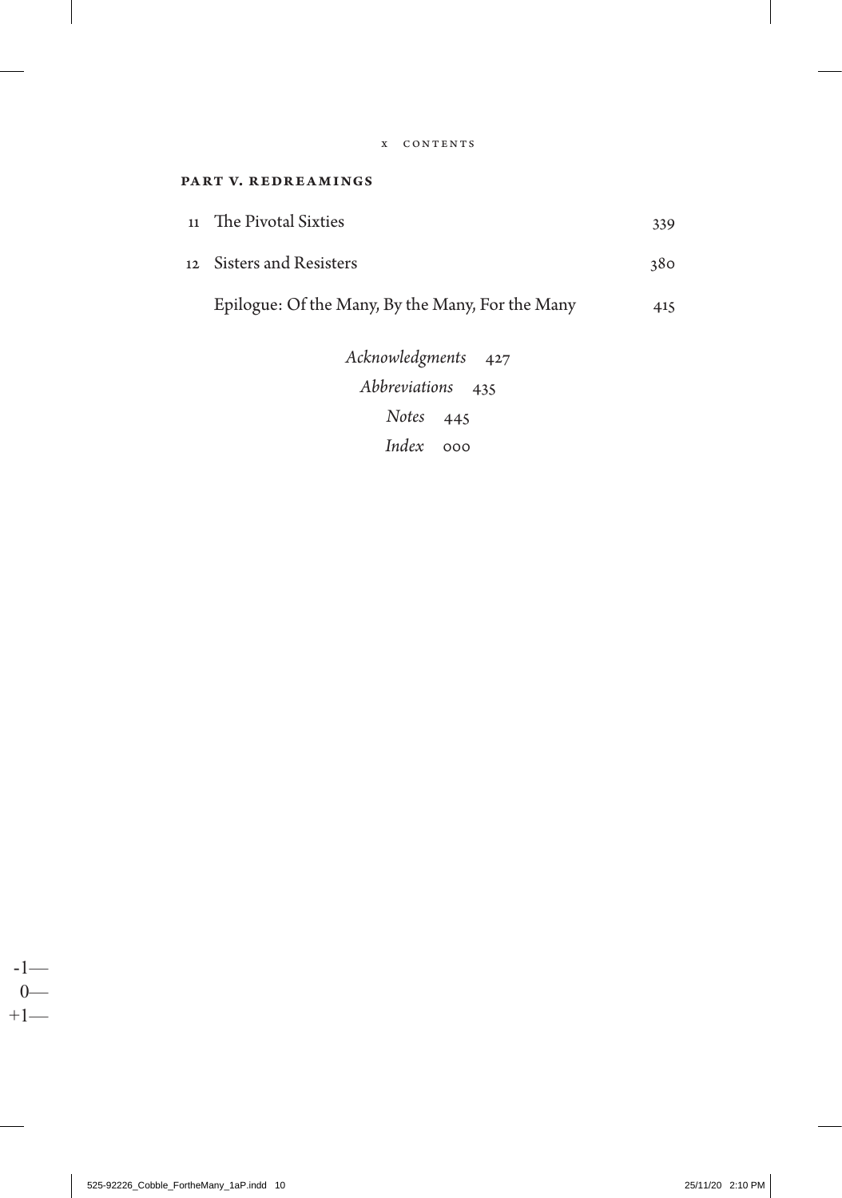#### x contents

### PART V. REDREAMINGS

| 11 The Pivotal Sixties   | 339 |
|--------------------------|-----|
| 12 Sisters and Resisters | 380 |

Epilogue: Of the Many, By the Many, For the Many 415

*Acknowledgments* 427 *Abbreviations* 435 *Notes* 445 *Index* 000

-1—  $0$ —  $+1$ —  $\overline{\phantom{a}}$ 

 $\overline{\phantom{a}}$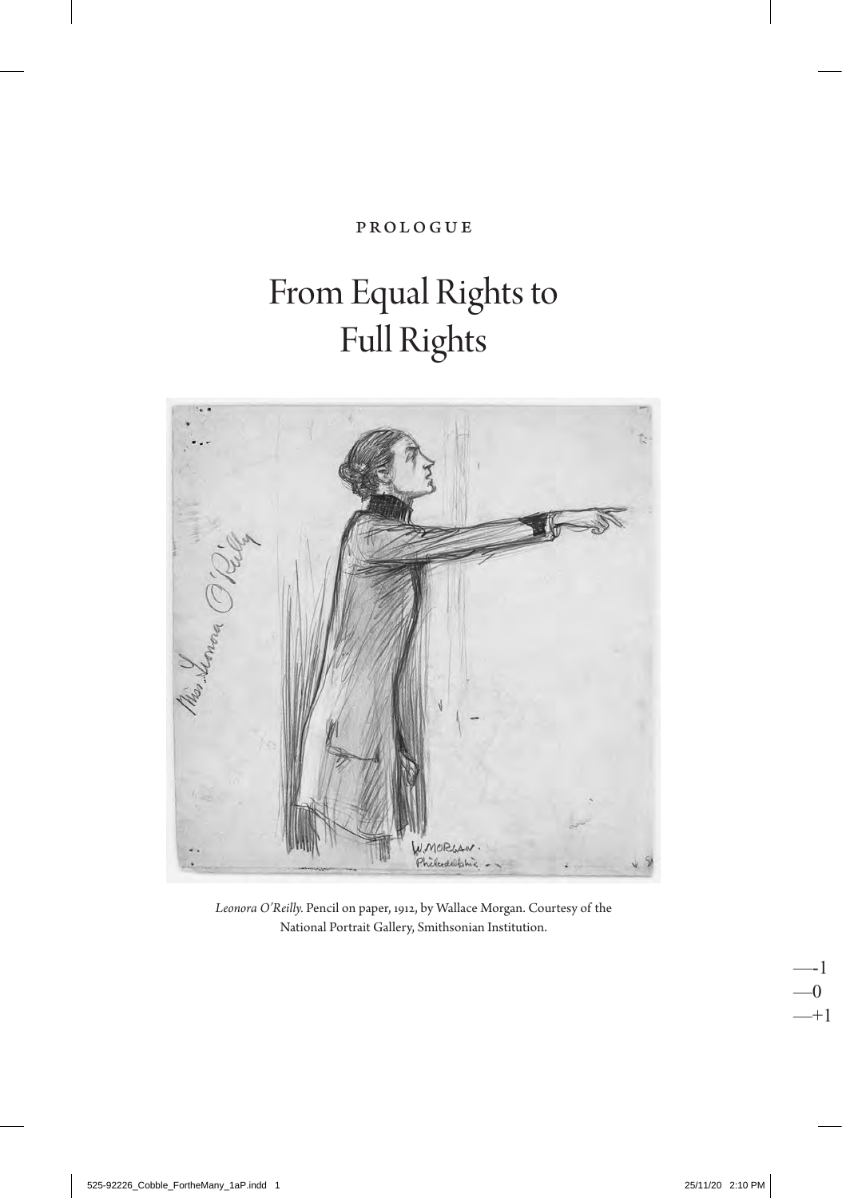# From Equal Rights to Full Rights



*Leonora O'Reilly.* Pencil on paper, 1912, by Wallace Morgan. Courtesy of the National Portrait Gallery, Smithsonian Institution.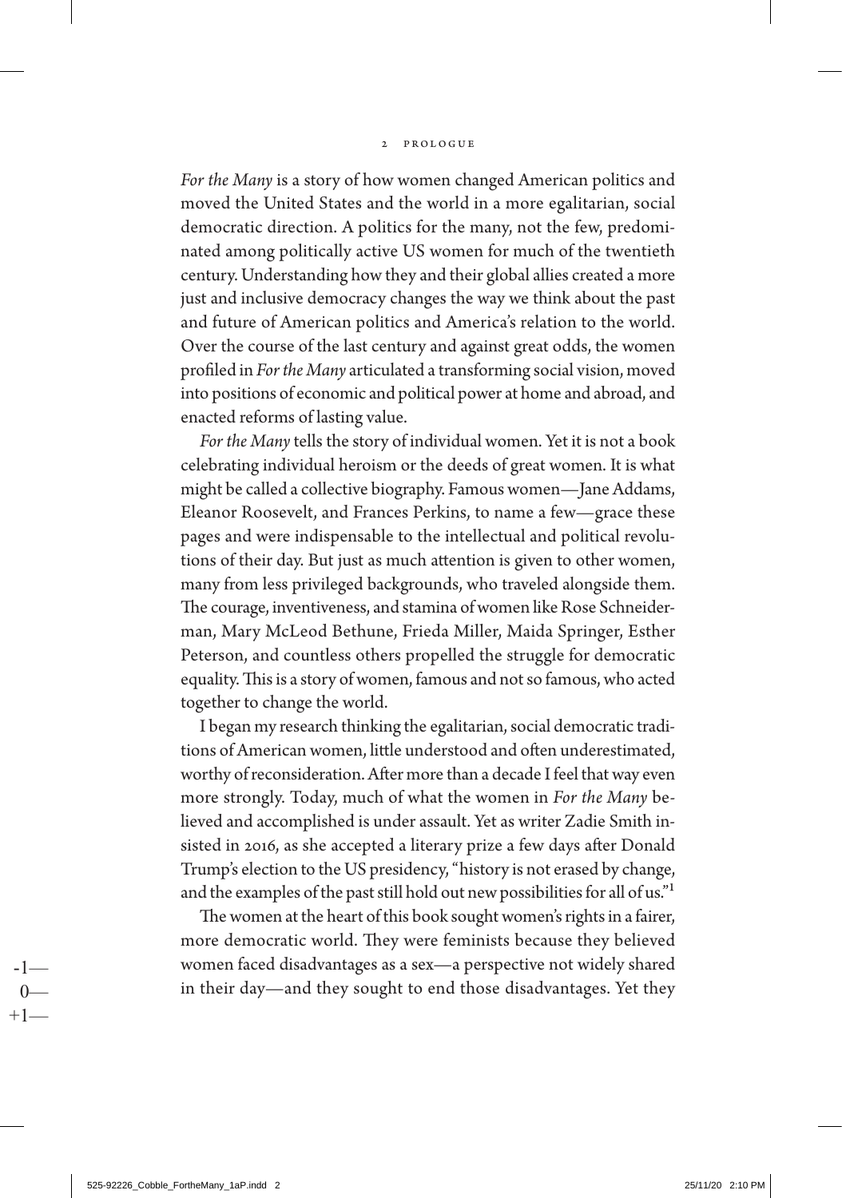*For the Many* is a story of how women changed American politics and moved the United States and the world in a more egalitarian, social democratic direction. A politics for the many, not the few, predominated among politically active US women for much of the twentieth century. Understanding how they and their global allies created a more just and inclusive democracy changes the way we think about the past and future of American politics and America's relation to the world. Over the course of the last century and against great odds, the women profiled in *For the Many* articulated a transforming social vision, moved into positions of economic and political power at home and abroad, and enacted reforms of lasting value.

*For the Many* tells the story of individual women. Yet it is not a book celebrating individual heroism or the deeds of great women. It is what might be called a collective biography. Famous women—Jane Addams, Eleanor Roosevelt, and Frances Perkins, to name a few—grace these pages and were indispensable to the intellectual and political revolutions of their day. But just as much attention is given to other women, many from less privileged backgrounds, who traveled alongside them. The courage, inventiveness, and stamina of women like Rose Schneiderman, Mary McLeod Bethune, Frieda Miller, Maida Springer, Esther Peterson, and countless others propelled the struggle for democratic equality. This is a story of women, famous and not so famous, who acted together to change the world.

I began my research thinking the egalitarian, social democratic traditions of American women, little understood and often underestimated, worthy of reconsideration. After more than a decade I feel that way even more strongly. Today, much of what the women in *For the Many* believed and accomplished is under assault. Yet as writer Zadie Smith insisted in 2016, as she accepted a literary prize a few days after Donald Trump's election to the US presidency, "history is not erased by change, and the examples of the past still hold out new possibilities for all of us."1

The women at the heart of this book sought women's rights in a fairer, more democratic world. They were feminists because they believed women faced disadvantages as a sex—a perspective not widely shared in their day—and they sought to end those disadvantages. Yet they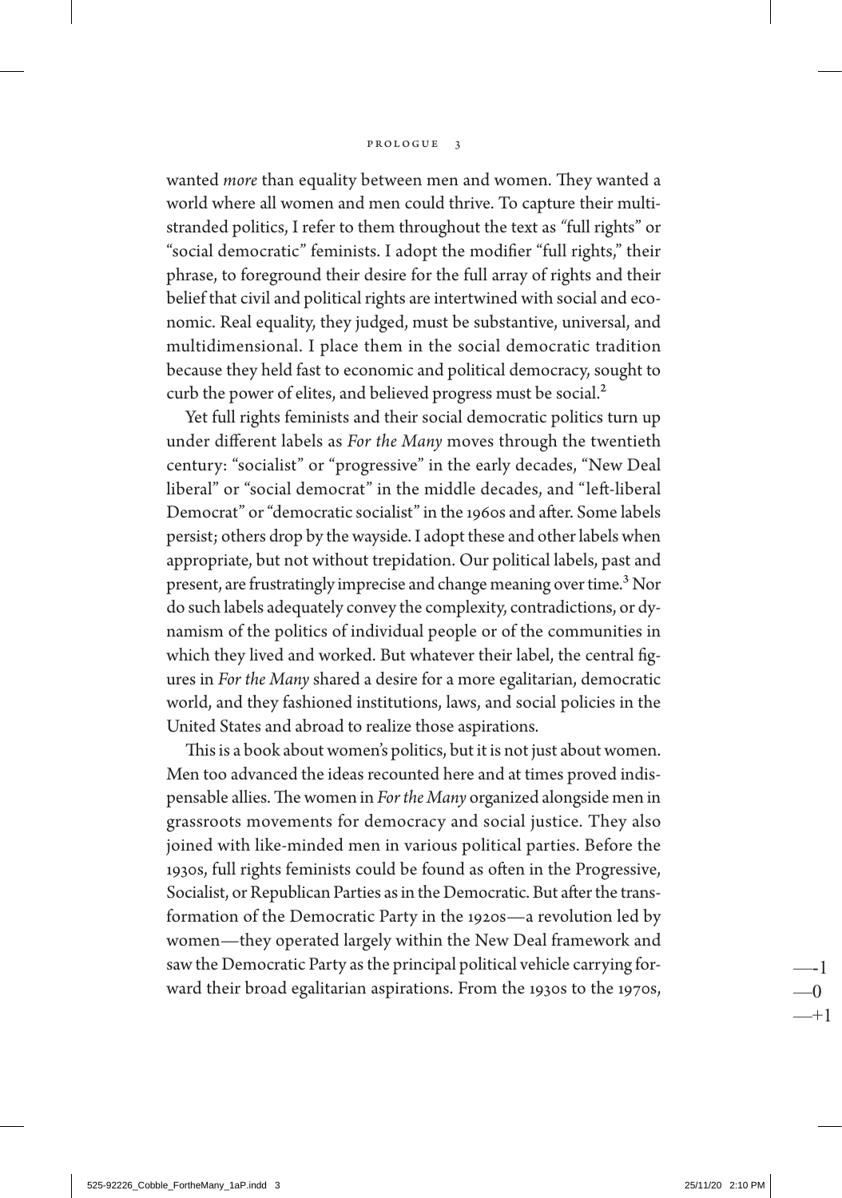wanted *more* than equality between men and women. They wanted a world where all women and men could thrive. To capture their multistranded politics, I refer to them throughout the text as *"*full rights" or "social democratic" feminists. I adopt the modifier "full rights," their phrase, to foreground their desire for the full array of rights and their belief that civil and political rights are intertwined with social and economic. Real equality, they judged, must be substantive, universal, and multidimensional. I place them in the social democratic tradition because they held fast to economic and political democracy, sought to curb the power of elites, and believed progress must be social.<sup>2</sup>

Yet full rights feminists and their social democratic politics turn up under different labels as *For the Many* moves through the twentieth century: "socialist" or "progressive" in the early decades, "New Deal liberal" or "social democrat" in the middle decades, and "left-liberal Democrat" or "democratic socialist" in the 1960s and after. Some labels persist; others drop by the wayside. I adopt these and other labels when appropriate, but not without trepidation. Our political labels, past and present, are frustratingly imprecise and change meaning over time.<sup>3</sup> Nor do such labels adequately convey the complexity, contradictions, or dynamism of the politics of individual people or of the communities in which they lived and worked. But whatever their label, the central figures in *For the Many* shared a desire for a more egalitarian, democratic world, and they fashioned institutions, laws, and social policies in the United States and abroad to realize those aspirations.

This is a book about women's politics, but it is not just about women. Men too advanced the ideas recounted here and at times proved indispensable allies. The women in *For the Many* organized alongside men in grassroots movements for democracy and social justice. They also joined with like-minded men in various political parties. Before the 1930s, full rights feminists could be found as often in the Progressive, Socialist, or Republican Parties as in the Democratic. But after the transformation of the Democratic Party in the 1920s—a revolution led by women—they operated largely within the New Deal framework and saw the Democratic Party as the principal political vehicle carrying forward their broad egalitarian aspirations. From the 1930s to the 1970s,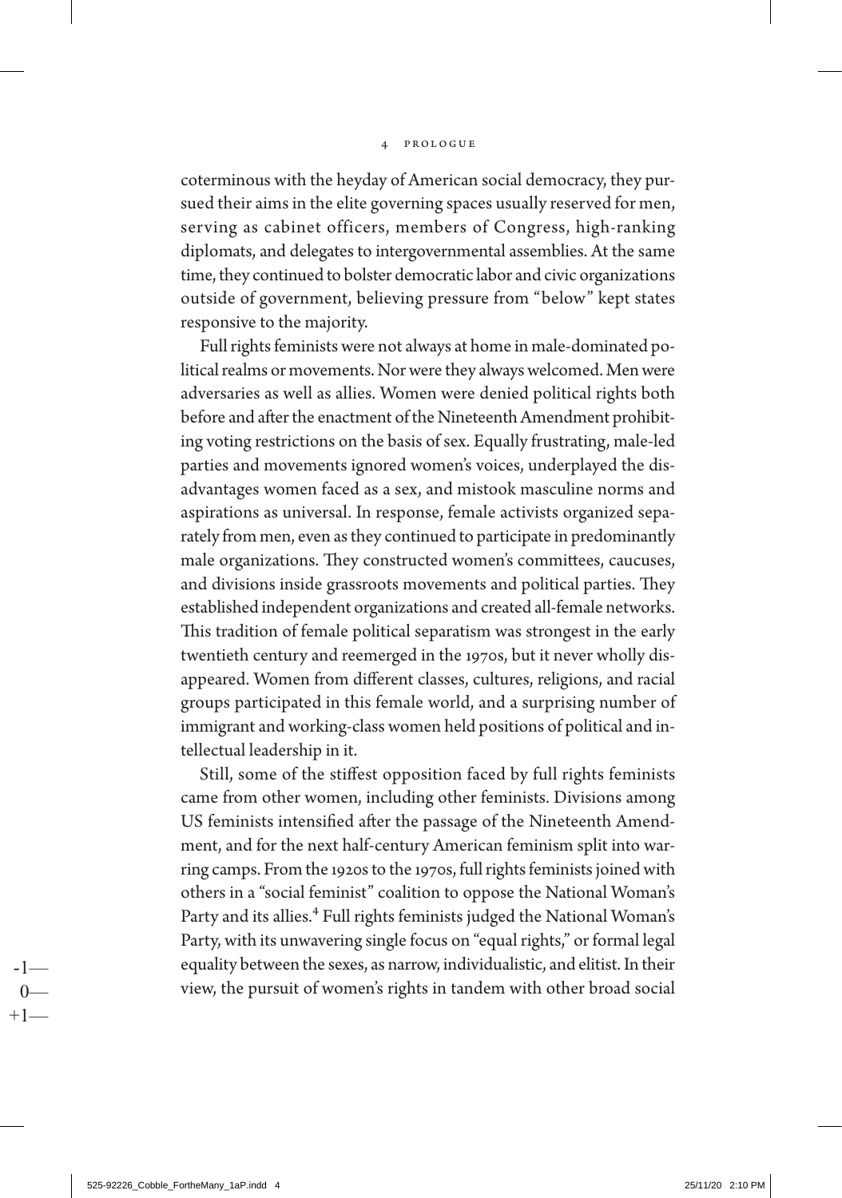coterminous with the heyday of American social democracy, they pursued their aims in the elite governing spaces usually reserved for men, serving as cabinet officers, members of Congress, high-ranking diplomats, and delegates to intergovernmental assemblies. At the same time, they continued to bolster democratic labor and civic organizations outside of government, believing pressure from "below" kept states responsive to the majority.

Full rights feminists were not always at home in male-dominated political realms or movements. Nor were they always welcomed. Men were adversaries as well as allies. Women were denied political rights both before and after the enactment of the Nineteenth Amendment prohibiting voting restrictions on the basis of sex. Equally frustrating, male-led parties and movements ignored women's voices, underplayed the disadvantages women faced as a sex, and mistook masculine norms and aspirations as universal. In response, female activists organized separately from men, even as they continued to participate in predominantly male organizations. They constructed women's committees, caucuses, and divisions inside grassroots movements and political parties. They established independent organizations and created all-female networks. This tradition of female political separatism was strongest in the early twentieth century and reemerged in the 1970s, but it never wholly disappeared. Women from different classes, cultures, religions, and racial groups participated in this female world, and a surprising number of immigrant and working-class women held positions of political and intellectual leadership in it.

Still, some of the stiffest opposition faced by full rights feminists came from other women, including other feminists. Divisions among US feminists intensified after the passage of the Nineteenth Amendment, and for the next half-century American feminism split into warring camps. From the 1920s to the 1970s, full rights feminists joined with others in a "social feminist" coalition to oppose the National Woman's Party and its allies.<sup>4</sup> Full rights feminists judged the National Woman's Party, with its unwavering single focus on "equal rights," or formal legal equality between the sexes, as narrow, individualistic, and elitist. In their view, the pursuit of women's rights in tandem with other broad social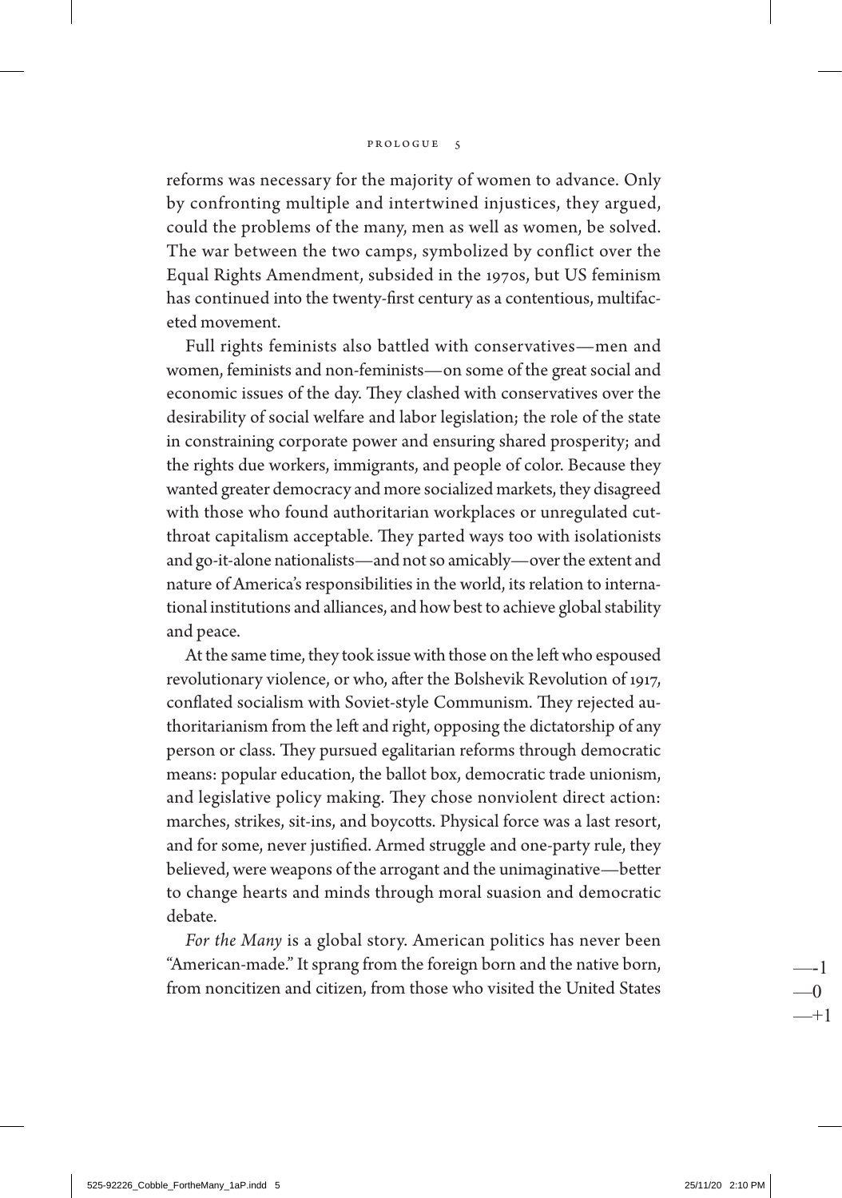reforms was necessary for the majority of women to advance. Only by confronting multiple and intertwined injustices, they argued, could the problems of the many, men as well as women, be solved. The war between the two camps, symbolized by conflict over the Equal Rights Amendment, subsided in the 1970s, but US feminism has continued into the twenty-first century as a contentious, multifaceted movement.

Full rights feminists also battled with conservatives—men and women, feminists and non-feminists—on some of the great social and economic issues of the day. They clashed with conservatives over the desirability of social welfare and labor legislation; the role of the state in constraining corporate power and ensuring shared prosperity; and the rights due workers, immigrants, and people of color. Because they wanted greater democracy and more socialized markets, they disagreed with those who found authoritarian workplaces or unregulated cutthroat capitalism acceptable. They parted ways too with isolationists and go-it-alone nationalists—and not so amicably—over the extent and nature of America's responsibilities in the world, its relation to international institutions and alliances, and how best to achieve global stability and peace.

At the same time, they took issue with those on the left who espoused revolutionary violence, or who, after the Bolshevik Revolution of 1917, conflated socialism with Soviet-style Communism. They rejected authoritarianism from the left and right, opposing the dictatorship of any person or class. They pursued egalitarian reforms through democratic means: popular education, the ballot box, democratic trade unionism, and legislative policy making. They chose nonviolent direct action: marches, strikes, sit-ins, and boycotts. Physical force was a last resort, and for some, never justified. Armed struggle and one-party rule, they believed, were weapons of the arrogant and the unimaginative—better to change hearts and minds through moral suasion and democratic debate.

*For the Many* is a global story. American politics has never been "American-made." It sprang from the foreign born and the native born, from noncitizen and citizen, from those who visited the United States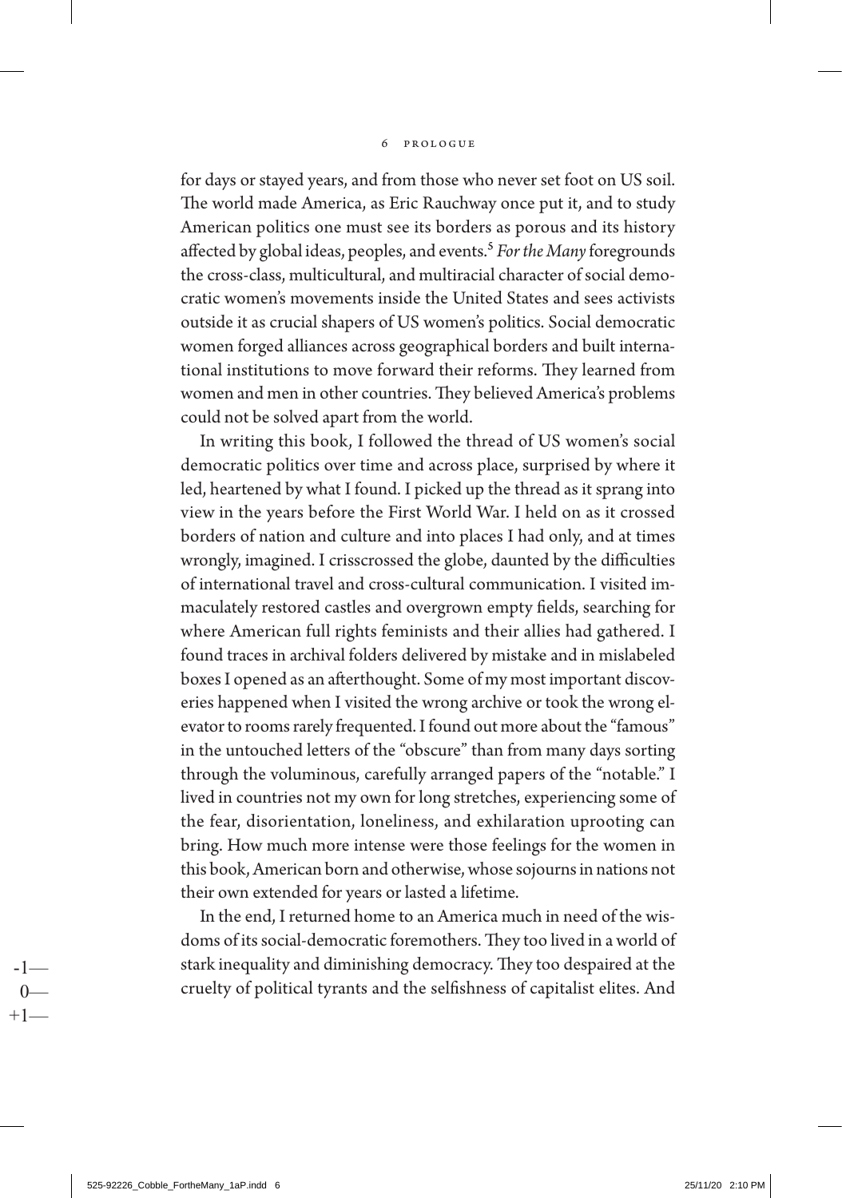for days or stayed years, and from those who never set foot on US soil. The world made America, as Eric Rauchway once put it, and to study American politics one must see its borders as porous and its history affected by global ideas, peoples, and events.5 *For the Many* foregrounds the cross-class, multicultural, and multiracial character of social democratic women's movements inside the United States and sees activists outside it as crucial shapers of US women's politics. Social democratic women forged alliances across geographical borders and built international institutions to move forward their reforms. They learned from women and men in other countries. They believed America's problems could not be solved apart from the world.

In writing this book, I followed the thread of US women's social democratic politics over time and across place, surprised by where it led, heartened by what I found. I picked up the thread as it sprang into view in the years before the First World War. I held on as it crossed borders of nation and culture and into places I had only, and at times wrongly, imagined. I crisscrossed the globe, daunted by the difficulties of international travel and cross-cultural communication. I visited immaculately restored castles and overgrown empty fields, searching for where American full rights feminists and their allies had gathered. I found traces in archival folders delivered by mistake and in mislabeled boxes I opened as an afterthought. Some of my most important discoveries happened when I visited the wrong archive or took the wrong elevator to rooms rarely frequented. I found out more about the "famous" in the untouched letters of the "obscure" than from many days sorting through the voluminous, carefully arranged papers of the "notable." I lived in countries not my own for long stretches, experiencing some of the fear, disorientation, loneliness, and exhilaration uprooting can bring. How much more intense were those feelings for the women in this book, American born and otherwise, whose sojourns in nations not their own extended for years or lasted a lifetime.

In the end, I returned home to an America much in need of the wisdoms of its social-democratic foremothers. They too lived in a world of stark inequality and diminishing democracy. They too despaired at the cruelty of political tyrants and the selfishness of capitalist elites. And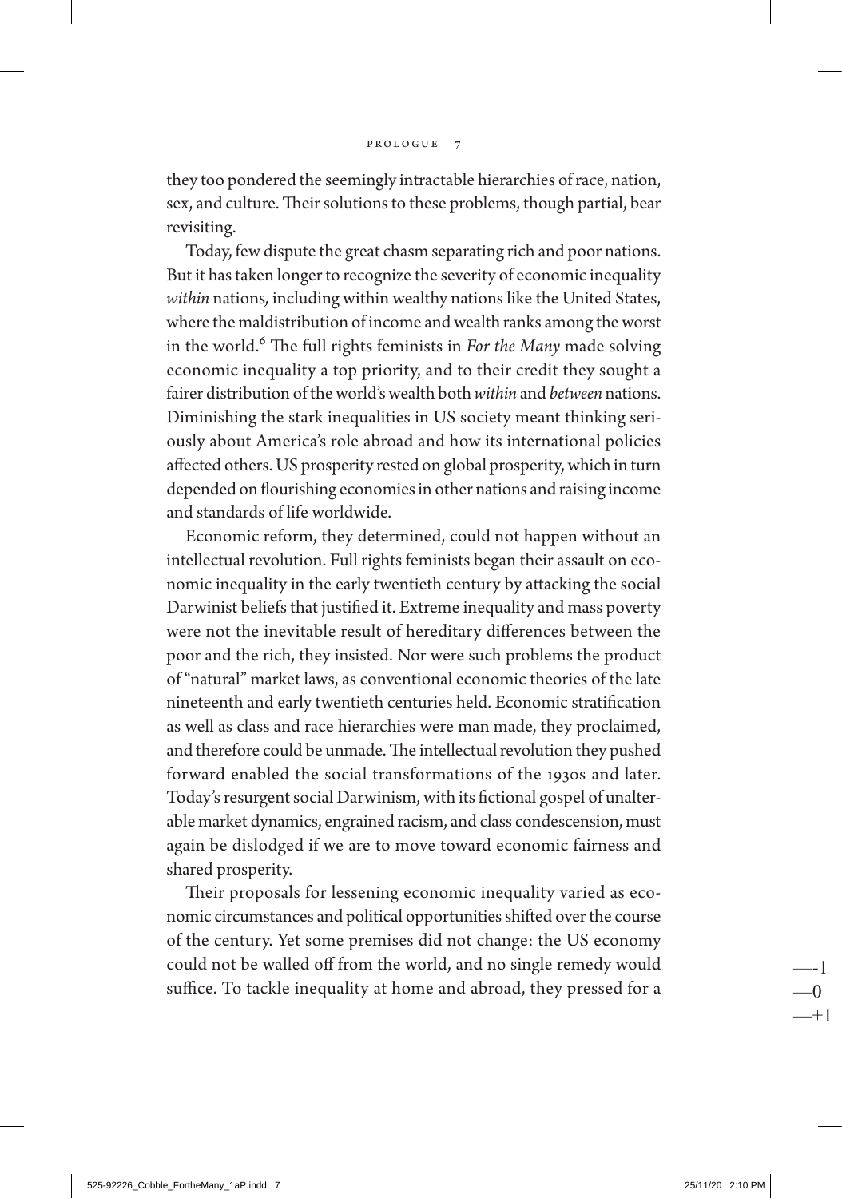**PROLOGUE** 

they too pondered the seemingly intractable hierarchies of race, nation, sex, and culture. Their solutions to these problems, though partial, bear revisiting.

Today, few dispute the great chasm separating rich and poor nations. But it has taken longer to recognize the severity of economic inequality *within* nations*,* including within wealthy nations like the United States, where the maldistribution of income and wealth ranks among the worst in the world.6 The full rights feminists in *For the Many* made solving economic inequality a top priority, and to their credit they sought a fairer distribution of the world's wealth both *within* and *between* nations. Diminishing the stark inequalities in US society meant thinking seriously about America's role abroad and how its international policies affected others. US prosperity rested on global prosperity, which in turn depended on flourishing economies in other nations and raising income and standards of life worldwide.

Economic reform, they determined, could not happen without an intellectual revolution. Full rights feminists began their assault on economic inequality in the early twentieth century by attacking the social Darwinist beliefs that justified it. Extreme inequality and mass poverty were not the inevitable result of hereditary differences between the poor and the rich, they insisted. Nor were such problems the product of "natural" market laws, as conventional economic theories of the late nineteenth and early twentieth centuries held. Economic stratification as well as class and race hierarchies were man made, they proclaimed, and therefore could be unmade. The intellectual revolution they pushed forward enabled the social transformations of the 1930s and later. Today's resurgent social Darwinism, with its fictional gospel of unalterable market dynamics, engrained racism, and class condescension, must again be dislodged if we are to move toward economic fairness and shared prosperity.

Their proposals for lessening economic inequality varied as economic circumstances and political opportunities shifted over the course of the century. Yet some premises did not change: the US economy could not be walled off from the world, and no single remedy would suffice. To tackle inequality at home and abroad, they pressed for a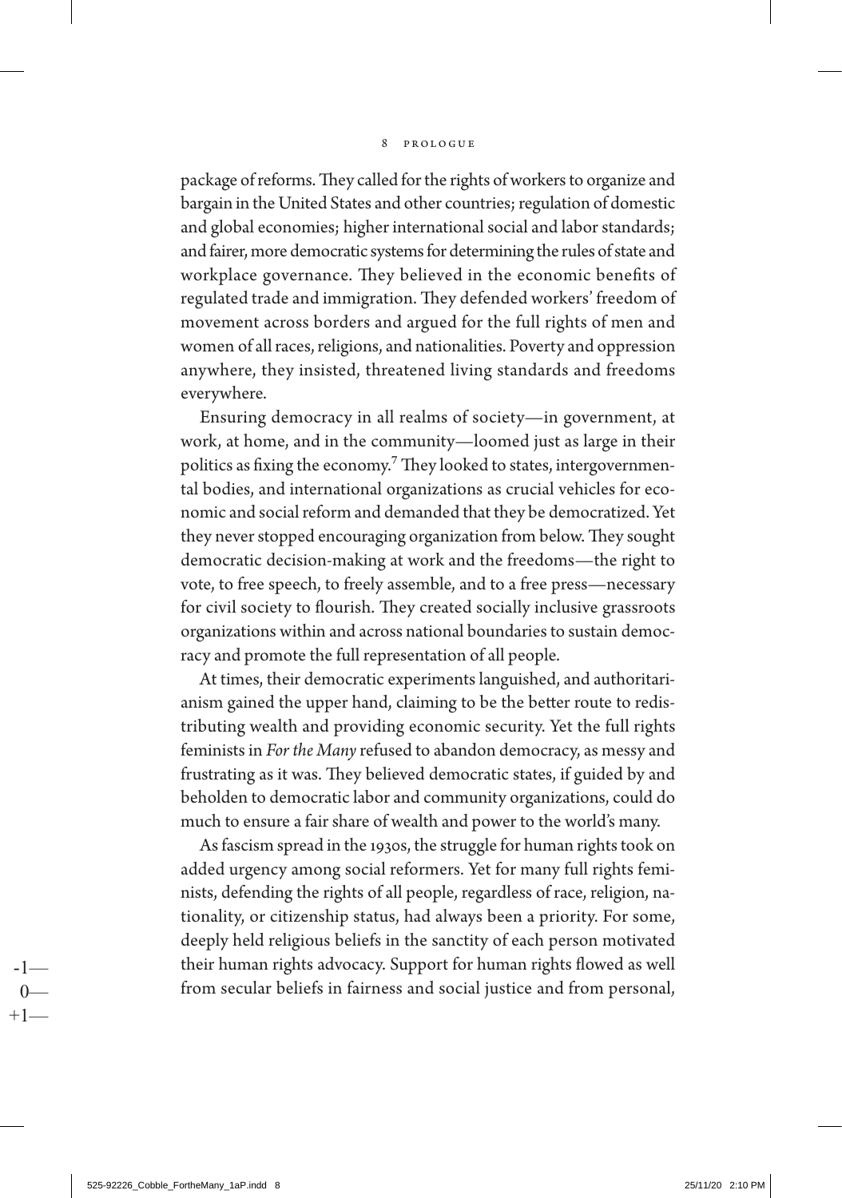package of reforms. They called for the rights of workers to organize and bargain in the United States and other countries; regulation of domestic and global economies; higher international social and labor standards; and fairer, more democratic systems for determining the rules of state and workplace governance. They believed in the economic benefits of regulated trade and immigration. They defended workers' freedom of movement across borders and argued for the full rights of men and women of all races, religions, and nationalities. Poverty and oppression anywhere, they insisted, threatened living standards and freedoms everywhere.

Ensuring democracy in all realms of society—in government, at work, at home, and in the community—loomed just as large in their politics as fixing the economy.<sup>7</sup> They looked to states, intergovernmental bodies, and international organizations as crucial vehicles for economic and social reform and demanded that they be democratized. Yet they never stopped encouraging organization from below. They sought democratic decision-making at work and the freedoms—the right to vote, to free speech, to freely assemble, and to a free press—necessary for civil society to flourish. They created socially inclusive grassroots organizations within and across national boundaries to sustain democracy and promote the full representation of all people.

At times, their democratic experiments languished, and authoritarianism gained the upper hand, claiming to be the better route to redistributing wealth and providing economic security. Yet the full rights feminists in *For the Many* refused to abandon democracy, as messy and frustrating as it was. They believed democratic states, if guided by and beholden to democratic labor and community organizations, could do much to ensure a fair share of wealth and power to the world's many.

As fascism spread in the 1930s, the struggle for human rights took on added urgency among social reformers. Yet for many full rights feminists, defending the rights of all people, regardless of race, religion, nationality, or citizenship status, had always been a priority. For some, deeply held religious beliefs in the sanctity of each person motivated their human rights advocacy. Support for human rights flowed as well from secular beliefs in fairness and social justice and from personal,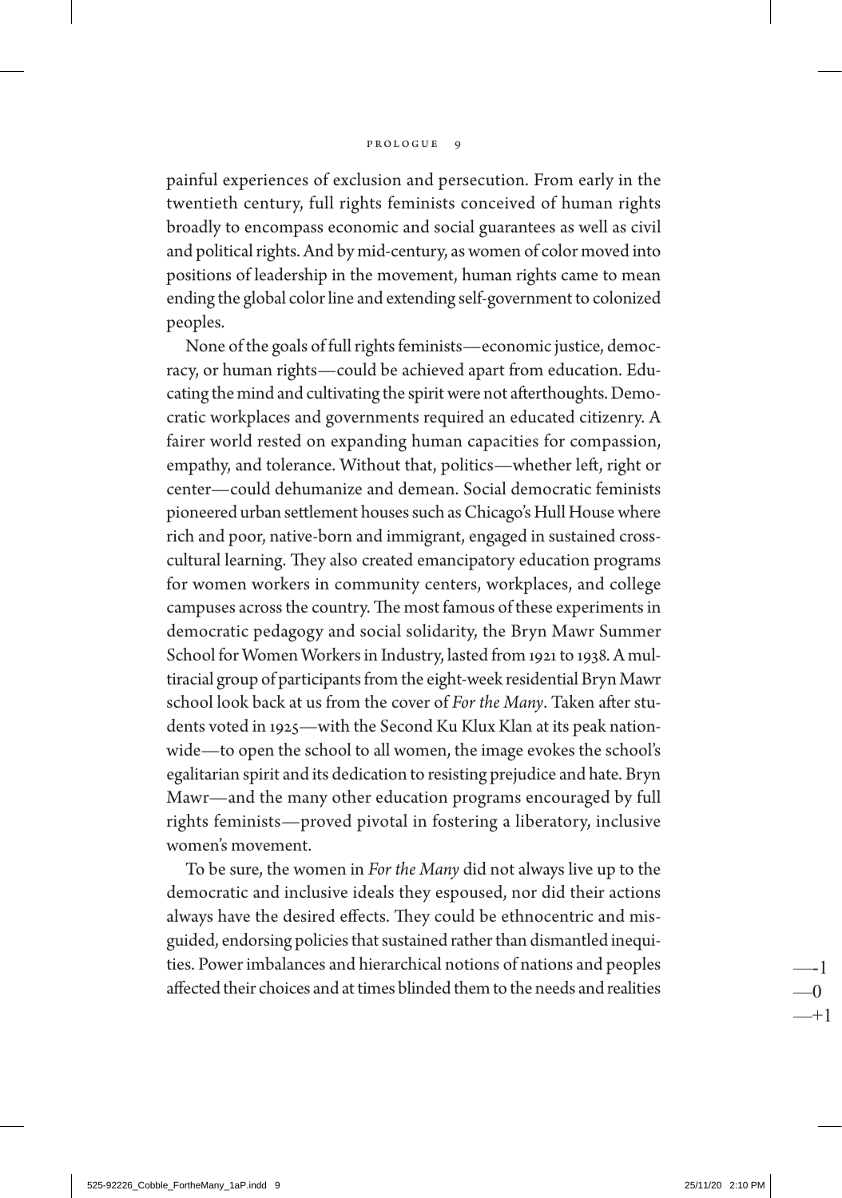#### **PROLOGUE**

painful experiences of exclusion and persecution. From early in the twentieth century, full rights feminists conceived of human rights broadly to encompass economic and social guarantees as well as civil and political rights. And by mid-century, as women of color moved into positions of leadership in the movement, human rights came to mean ending the global color line and extending self-government to colonized peoples.

None of the goals of full rights feminists—economic justice, democracy, or human rights—could be achieved apart from education. Educating the mind and cultivating the spirit were not afterthoughts. Democratic workplaces and governments required an educated citizenry. A fairer world rested on expanding human capacities for compassion, empathy, and tolerance. Without that, politics—whether left, right or center—could dehumanize and demean. Social democratic feminists pioneered urban settlement houses such as Chicago's Hull House where rich and poor, native-born and immigrant, engaged in sustained crosscultural learning. They also created emancipatory education programs for women workers in community centers, workplaces, and college campuses across the country. The most famous of these experiments in democratic pedagogy and social solidarity, the Bryn Mawr Summer School for Women Workers in Industry, lasted from 1921 to 1938. A multiracial group of participants from the eight-week residential Bryn Mawr school look back at us from the cover of *For the Many*. Taken after students voted in 1925—with the Second Ku Klux Klan at its peak nationwide—to open the school to all women, the image evokes the school's egalitarian spirit and its dedication to resisting prejudice and hate. Bryn Mawr—and the many other education programs encouraged by full rights feminists—proved pivotal in fostering a liberatory, inclusive women's movement.

To be sure, the women in *For the Many* did not always live up to the democratic and inclusive ideals they espoused, nor did their actions always have the desired effects. They could be ethnocentric and misguided, endorsing policies that sustained rather than dismantled inequities. Power imbalances and hierarchical notions of nations and peoples affected their choices and at times blinded them to the needs and realities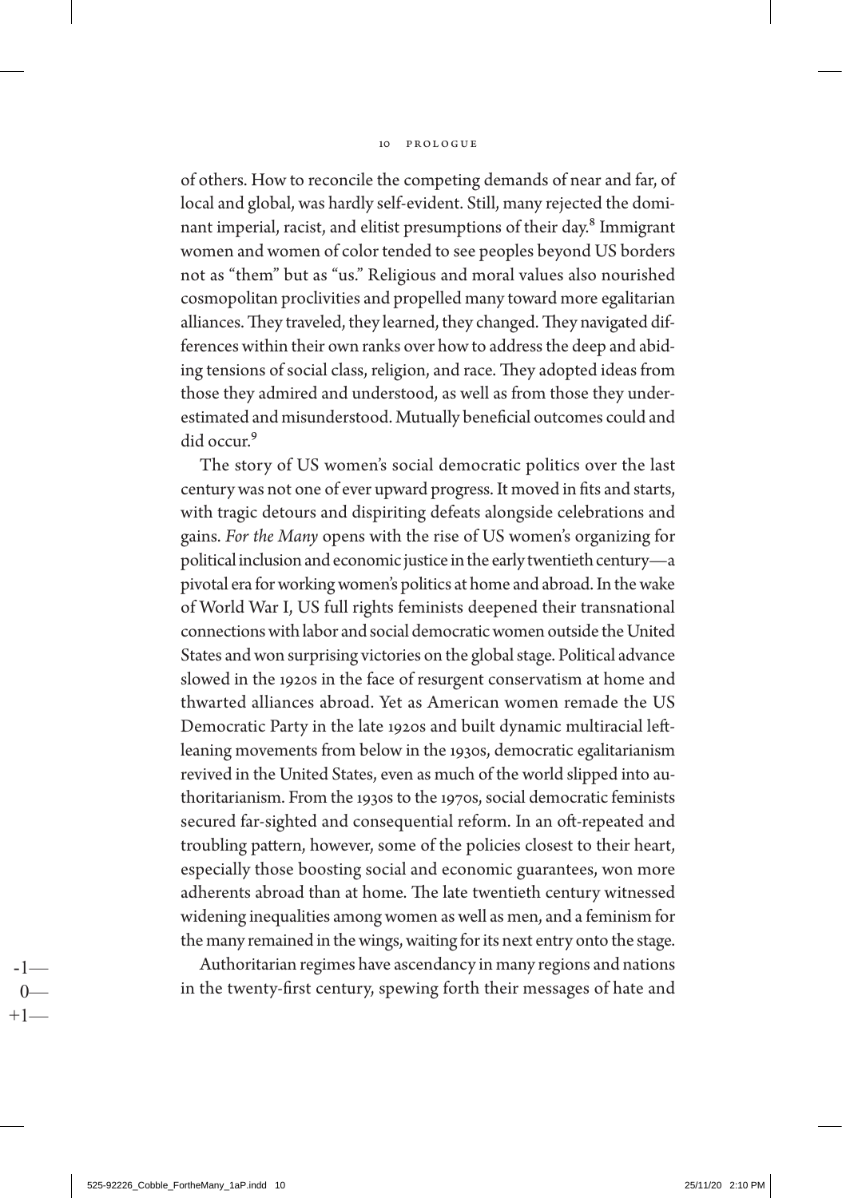of others. How to reconcile the competing demands of near and far, of local and global, was hardly self-evident. Still, many rejected the dominant imperial, racist, and elitist presumptions of their day.<sup>8</sup> Immigrant women and women of color tended to see peoples beyond US borders not as "them" but as "us." Religious and moral values also nourished cosmopolitan proclivities and propelled many toward more egalitarian alliances. They traveled, they learned, they changed. They navigated differences within their own ranks over how to address the deep and abiding tensions of social class, religion, and race. They adopted ideas from those they admired and understood, as well as from those they underestimated and misunderstood. Mutually beneficial outcomes could and did occur.<sup>9</sup>

The story of US women's social democratic politics over the last century was not one of ever upward progress. It moved in fits and starts, with tragic detours and dispiriting defeats alongside celebrations and gains. *For the Many* opens with the rise of US women's organizing for political inclusion and economic justice in the early twentieth century—a pivotal era for working women's politics at home and abroad. In the wake of World War I, US full rights feminists deepened their transnational connections with labor and social democratic women outside the United States and won surprising victories on the global stage. Political advance slowed in the 1920s in the face of resurgent conservatism at home and thwarted alliances abroad. Yet as American women remade the US Democratic Party in the late 1920s and built dynamic multiracial leftleaning movements from below in the 1930s, democratic egalitarianism revived in the United States, even as much of the world slipped into authoritarianism. From the 1930s to the 1970s, social democratic feminists secured far-sighted and consequential reform. In an oft-repeated and troubling pattern, however, some of the policies closest to their heart, especially those boosting social and economic guarantees, won more adherents abroad than at home. The late twentieth century witnessed widening inequalities among women as well as men, and a feminism for the many remained in the wings, waiting for its next entry onto the stage.

Authoritarian regimes have ascendancy in many regions and nations in the twenty-first century, spewing forth their messages of hate and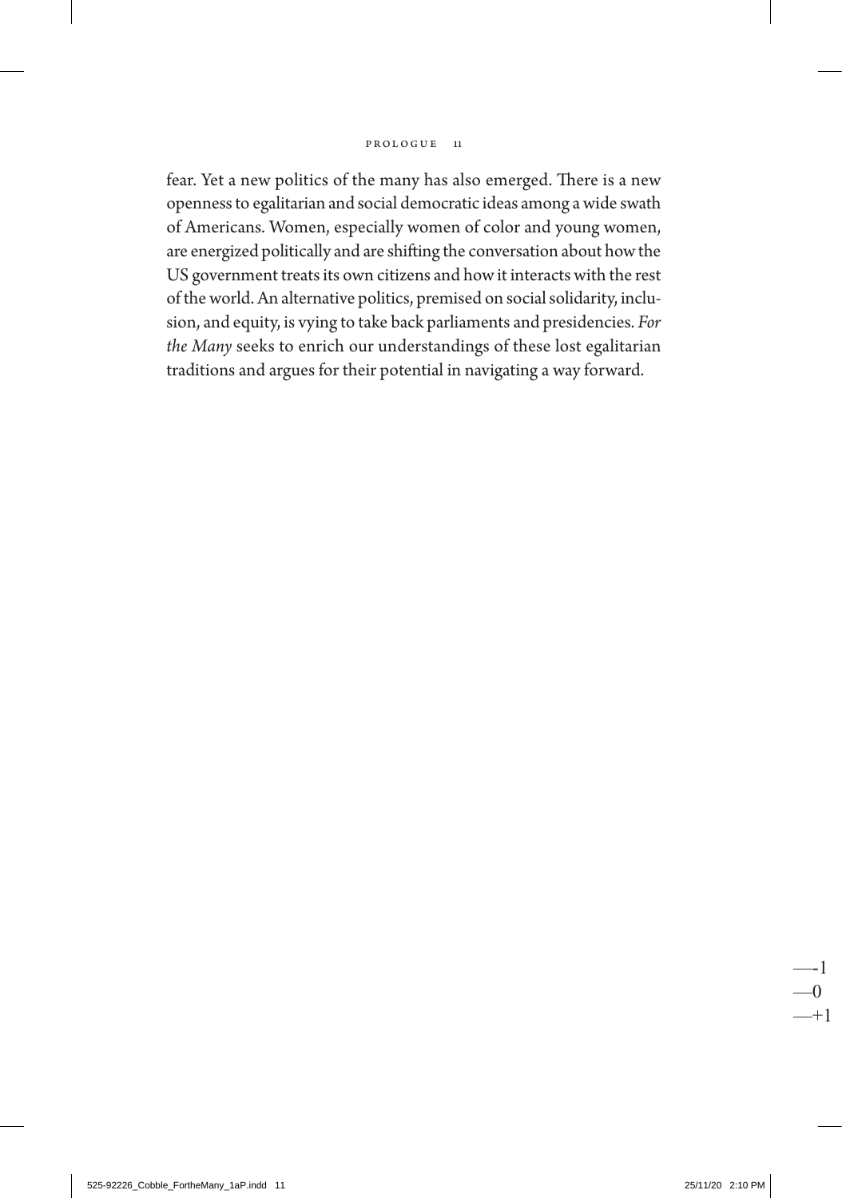fear. Yet a new politics of the many has also emerged. There is a new openness to egalitarian and social democratic ideas among a wide swath of Americans. Women, especially women of color and young women, are energized politically and are shifting the conversation about how the US government treats its own citizens and how it interacts with the rest of the world. An alternative politics, premised on social solidarity, inclusion, and equity, is vying to take back parliaments and presidencies. *For the Many* seeks to enrich our understandings of these lost egalitarian traditions and argues for their potential in navigating a way forward.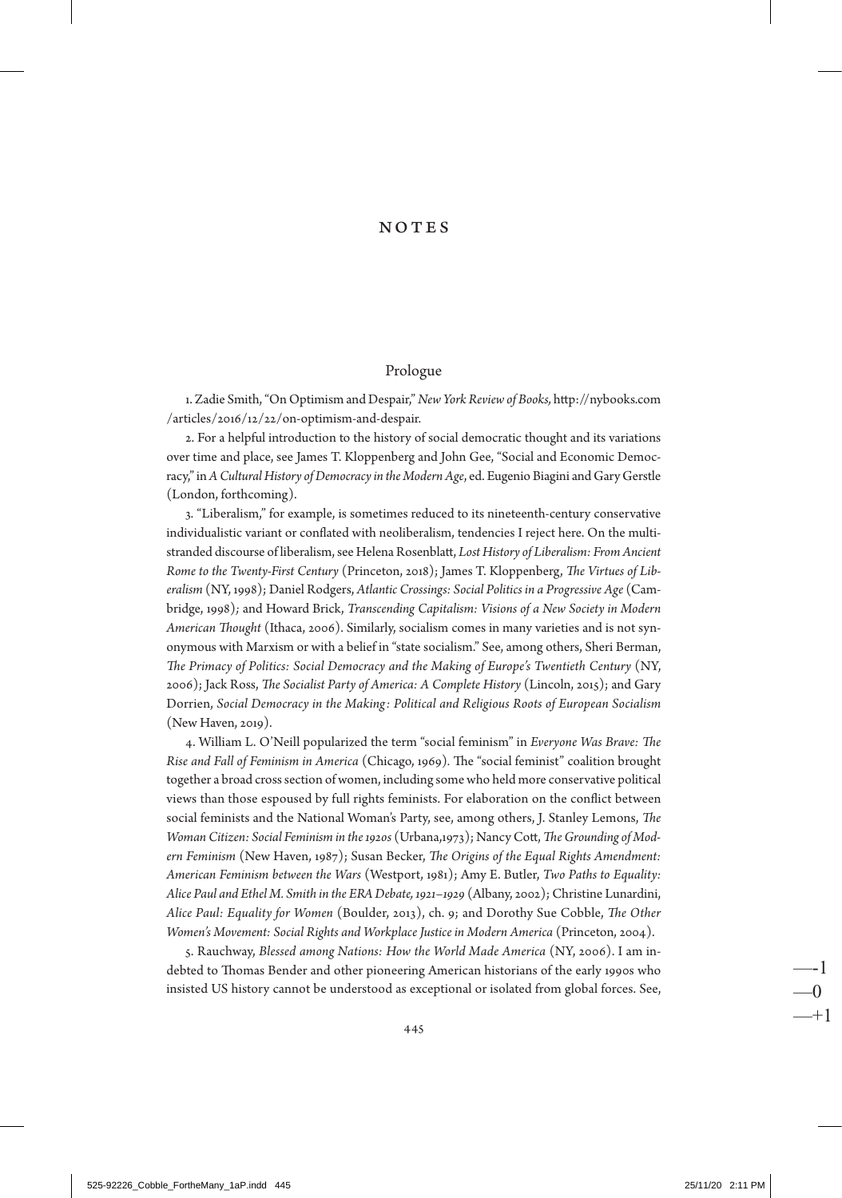## NOTES

#### Prologue

1. Zadie Smith, "On Optimism and Despair," *New York Review of Books,* http://nybooks.com /articles/2016/12/22/on-optimism-and-despair.

2. For a helpful introduction to the history of social democratic thought and its variations over time and place, see James T. Kloppenberg and John Gee, "Social and Economic Democracy," in *A Cultural History of Democracy in the Modern Age*, ed. Eugenio Biagini and Gary Gerstle (London, forthcoming).

3. "Liberalism," for example, is sometimes reduced to its nineteenth-century conservative individualistic variant or conflated with neoliberalism, tendencies I reject here. On the multistranded discourse of liberalism, see Helena Rosenblatt, *Lost History of Liberalism: From Ancient Rome to the Twenty-First Century* (Princeton, 2018); James T. Kloppenberg, *The Virtues of Liberalism* (NY, 1998); Daniel Rodgers, *Atlantic Crossings: Social Politics in a Progressive Age* (Cambridge, 1998)*;* and Howard Brick, *Transcending Capitalism: Visions of a New Society in Modern American Thought* (Ithaca, 2006). Similarly, socialism comes in many varieties and is not synonymous with Marxism or with a belief in "state socialism." See, among others, Sheri Berman, *The Primacy of Politics: Social Democracy and the Making of Europe's Twentieth Century* (NY, 2006); Jack Ross, *The Socialist Party of America: A Complete History* (Lincoln, 2015); and Gary Dorrien, *Social Democracy in the Making: Political and Religious Roots of European Socialism* (New Haven, 2019).

4. William L. O'Neill popularized the term "social feminism" in *Everyone Was Brave: The Rise and Fall of Feminism in America* (Chicago, 1969)*.* The "social feminist" coalition brought together a broad cross section of women, including some who held more conservative political views than those espoused by full rights feminists. For elaboration on the conflict between social feminists and the National Woman's Party, see, among others, J. Stanley Lemons, *The Woman Citizen: Social Feminism in the 1920s* (Urbana,1973); Nancy Cott, *The Grounding of Modern Feminism* (New Haven, 1987); Susan Becker, *The Origins of the Equal Rights Amendment: American Feminism between the Wars* (Westport, 1981); Amy E. Butler, *Two Paths to Equality: Alice Paul and Ethel M. Smith in the ERA Debate, 1921–1929* (Albany, 2002); Christine Lunardini, *Alice Paul: Equality for Women* (Boulder, 2013), ch. 9; and Dorothy Sue Cobble, *The Other Women's Movement: Social Rights and Workplace Justice in Modern America* (Princeton, 2004).

5. Rauchway, *Blessed among Nations: How the World Made America* (NY, 2006). I am indebted to Thomas Bender and other pioneering American historians of the early 1990s who insisted US history cannot be understood as exceptional or isolated from global forces. See,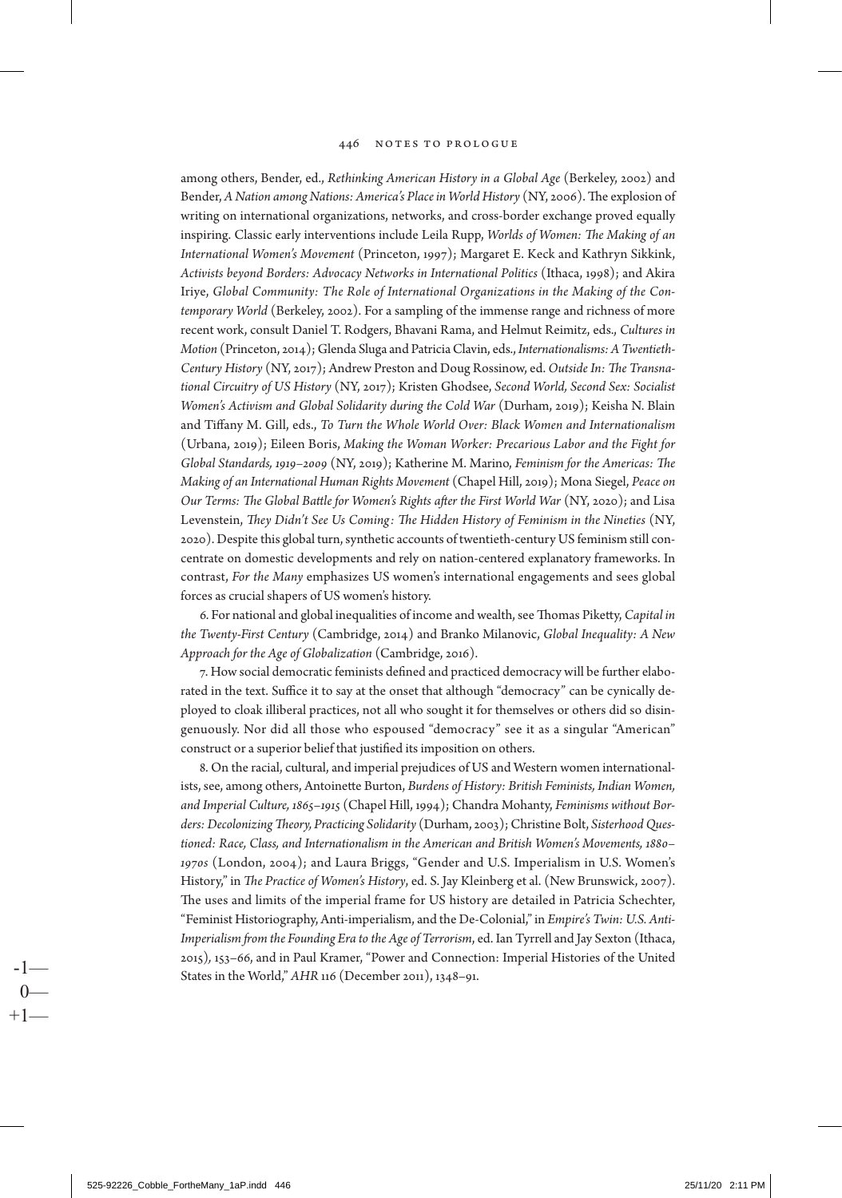#### 446 notes to prologue

among others, Bender, ed., *Rethinking American History in a Global Age* (Berkeley, 2002) and Bender, *A Nation among Nations: America's Place in World History* (NY, 2006). The explosion of writing on international organizations, networks, and cross-border exchange proved equally inspiring. Classic early interventions include Leila Rupp, *Worlds of Women: The Making of an International Women's Movement* (Princeton, 1997); Margaret E. Keck and Kathryn Sikkink, *Activists beyond Borders: Advocacy Networks in International Politics* (Ithaca, 1998); and Akira Iriye, *Global Community: The Role of International Organizations in the Making of the Contemporary World* (Berkeley, 2002). For a sampling of the immense range and richness of more recent work, consult Daniel T. Rodgers, Bhavani Rama, and Helmut Reimitz, eds., *Cultures in Motion* (Princeton, 2014); Glenda Sluga and Patricia Clavin, eds., *Internationalisms: A Twentieth--Century History* (NY, 2017); Andrew Preston and Doug Rossinow, ed. *Outside In: The Transnational Circuitry of US History* (NY, 2017); Kristen Ghodsee, *Second World, Second Sex: Socialist Women's Activism and Global Solidarity during the Cold War* (Durham, 2019); Keisha N. Blain and Tiffany M. Gill, eds., *To Turn the Whole World Over: Black Women and Internationalism* (Urbana, 2019); Eileen Boris, *Making the Woman Worker: Precarious Labor and the Fight for Global Standards, 1919–2009* (NY, 2019); Katherine M. Marino, *Feminism for the Americas: The Making of an International Human Rights Movement* (Chapel Hill, 2019); Mona Siegel, *Peace on Our Terms: The Global Battle for Women's Rights after the First World War* (NY, 2020); and Lisa Levenstein, *They Didn't See Us Coming: The Hidden History of Feminism in the Nineties* (NY, 2020). Despite this global turn, synthetic accounts of twentieth-century US feminism still concentrate on domestic developments and rely on nation-centered explanatory frameworks. In contrast, *For the Many* emphasizes US women's international engagements and sees global forces as crucial shapers of US women's history.

6. For national and global inequalities of income and wealth, see Thomas Piketty, *Capital in the Twenty-First Century* (Cambridge, 2014) and Branko Milanovic, *Global Inequality: A New Approach for the Age of Globalization* (Cambridge, 2016).

7. How social democratic feminists defined and practiced democracy will be further elaborated in the text. Suffice it to say at the onset that although "democracy" can be cynically deployed to cloak illiberal practices, not all who sought it for themselves or others did so disingenuously. Nor did all those who espoused "democracy" see it as a singular "American" construct or a superior belief that justified its imposition on others.

8. On the racial, cultural, and imperial prejudices of US and Western women internationalists, see, among others, Antoinette Burton, *Burdens of History: British Feminists, Indian Women, and Imperial Culture, 1865–1915* (Chapel Hill, 1994); Chandra Mohanty, *Feminisms without Borders: Decolonizing Theory, Practicing Solidarity* (Durham, 2003); Christine Bolt, *Sisterhood Questioned: Race, Class, and Internationalism in the American and British Women's Movements, 1880– 1970s* (London, 2004); and Laura Briggs, "Gender and U.S. Imperialism in U.S. Women's History," in *The Practice of Women's History*, ed. S. Jay Kleinberg et al. (New Brunswick, 2007). The uses and limits of the imperial frame for US history are detailed in Patricia Schechter, "Feminist Historiography, Anti-imperialism, and the De-Colonial," in *Empire's Twin: U.S. Anti--Imperialism from the Founding Era to the Age of Terrorism*, ed. Ian Tyrrell and Jay Sexton (Ithaca, 2015)*,* 153–66, and in Paul Kramer, "Power and Connection: Imperial Histories of the United States in the World," *AHR* 116 (December 2011), 1348–91.